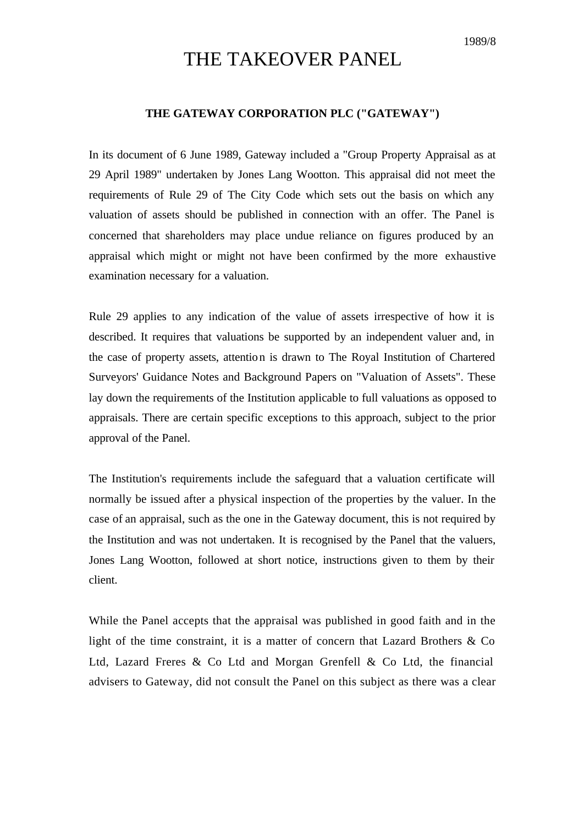## THE TAKEOVER PANEL

## **THE GATEWAY CORPORATION PLC ("GATEWAY")**

In its document of 6 June 1989, Gateway included a "Group Property Appraisal as at 29 April 1989" undertaken by Jones Lang Wootton. This appraisal did not meet the requirements of Rule 29 of The City Code which sets out the basis on which any valuation of assets should be published in connection with an offer. The Panel is concerned that shareholders may place undue reliance on figures produced by an appraisal which might or might not have been confirmed by the more exhaustive examination necessary for a valuation.

Rule 29 applies to any indication of the value of assets irrespective of how it is described. It requires that valuations be supported by an independent valuer and, in the case of property assets, attention is drawn to The Royal Institution of Chartered Surveyors' Guidance Notes and Background Papers on "Valuation of Assets". These lay down the requirements of the Institution applicable to full valuations as opposed to appraisals. There are certain specific exceptions to this approach, subject to the prior approval of the Panel.

The Institution's requirements include the safeguard that a valuation certificate will normally be issued after a physical inspection of the properties by the valuer. In the case of an appraisal, such as the one in the Gateway document, this is not required by the Institution and was not undertaken. It is recognised by the Panel that the valuers, Jones Lang Wootton, followed at short notice, instructions given to them by their client.

While the Panel accepts that the appraisal was published in good faith and in the light of the time constraint, it is a matter of concern that Lazard Brothers & Co Ltd, Lazard Freres & Co Ltd and Morgan Grenfell & Co Ltd, the financial advisers to Gateway, did not consult the Panel on this subject as there was a clear